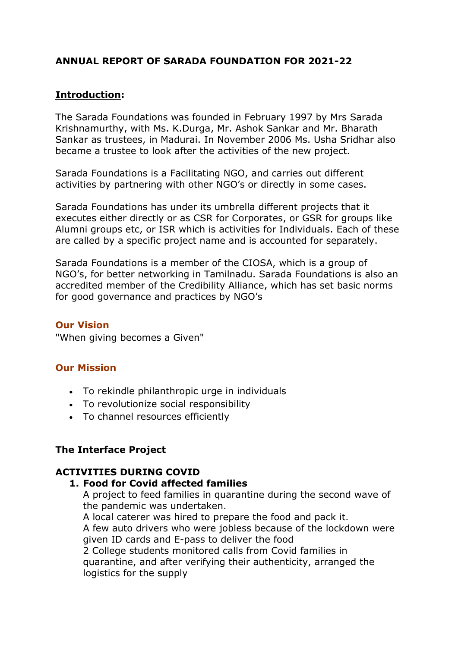## **ANNUAL REPORT OF SARADA FOUNDATION FOR 2021-22**

## **Introduction:**

The Sarada Foundations was founded in February 1997 by Mrs Sarada Krishnamurthy, with Ms. K.Durga, Mr. Ashok Sankar and Mr. Bharath Sankar as trustees, in Madurai. In November 2006 Ms. Usha Sridhar also became a trustee to look after the activities of the new project.

Sarada Foundations is a Facilitating NGO, and carries out different activities by partnering with other NGO's or directly in some cases.

Sarada Foundations has under its umbrella different projects that it executes either directly or as CSR for Corporates, or GSR for groups like Alumni groups etc, or ISR which is activities for Individuals. Each of these are called by a specific project name and is accounted for separately.

Sarada Foundations is a member of the CIOSA, which is a group of NGO's, for better networking in Tamilnadu. Sarada Foundations is also an accredited member of the Credibility Alliance, which has set basic norms for good governance and practices by NGO's

### **Our Vision**

"When giving becomes a Given"

## **Our Mission**

- To rekindle philanthropic urge in individuals
- To revolutionize social responsibility
- To channel resources efficiently

## **The Interface Project**

## **ACTIVITIES DURING COVID**

### **1. Food for Covid affected families**

A project to feed families in quarantine during the second wave of the pandemic was undertaken.

A local caterer was hired to prepare the food and pack it.

A few auto drivers who were jobless because of the lockdown were given ID cards and E-pass to deliver the food

2 College students monitored calls from Covid families in quarantine, and after verifying their authenticity, arranged the logistics for the supply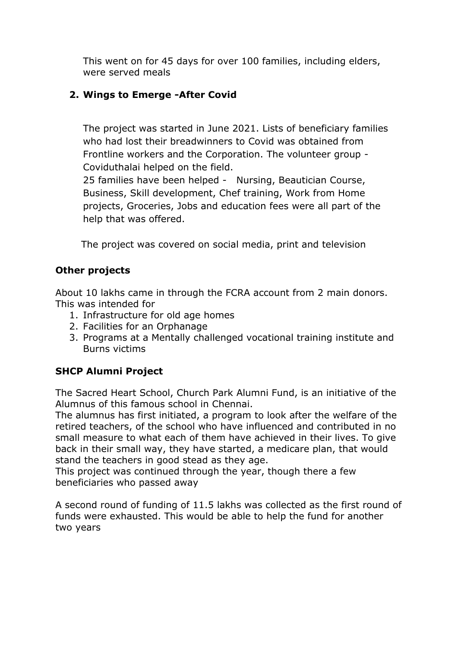This went on for 45 days for over 100 families, including elders, were served meals

# **2. Wings to Emerge -After Covid**

The project was started in June 2021. Lists of beneficiary families who had lost their breadwinners to Covid was obtained from Frontline workers and the Corporation. The volunteer group - Coviduthalai helped on the field.

25 families have been helped - Nursing, Beautician Course, Business, Skill development, Chef training, Work from Home projects, Groceries, Jobs and education fees were all part of the help that was offered.

The project was covered on social media, print and television

## **Other projects**

About 10 lakhs came in through the FCRA account from 2 main donors. This was intended for

- 1. Infrastructure for old age homes
- 2. Facilities for an Orphanage
- 3. Programs at a Mentally challenged vocational training institute and Burns victims

# **SHCP Alumni Project**

The Sacred Heart School, Church Park Alumni Fund, is an initiative of the Alumnus of this famous school in Chennai.

The alumnus has first initiated, a program to look after the welfare of the retired teachers, of the school who have influenced and contributed in no small measure to what each of them have achieved in their lives. To give back in their small way, they have started, a medicare plan, that would stand the teachers in good stead as they age.

This project was continued through the year, though there a few beneficiaries who passed away

A second round of funding of 11.5 lakhs was collected as the first round of funds were exhausted. This would be able to help the fund for another two years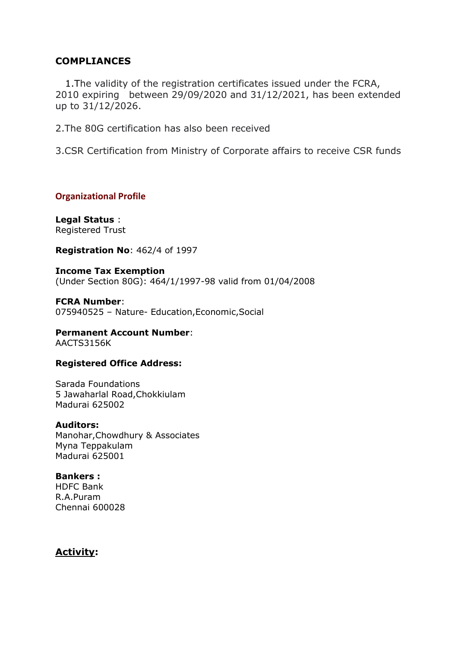### **COMPLIANCES**

 1.The validity of the registration certificates issued under the FCRA, 2010 expiring between 29/09/2020 and 31/12/2021, has been extended up to 31/12/2026.

2.The 80G certification has also been received

3.CSR Certification from Ministry of Corporate affairs to receive CSR funds

**Organizational Profile**

**Legal Status** : Registered Trust

**Registration No**: 462/4 of 1997

**Income Tax Exemption** (Under Section 80G): 464/1/1997-98 valid from 01/04/2008

**FCRA Number**: 075940525 – Nature- Education,Economic,Social

**Permanent Account Number**: AACTS3156K

#### **Registered Office Address:**

Sarada Foundations 5 Jawaharlal Road,Chokkiulam Madurai 625002

#### **Auditors:**

Manohar,Chowdhury & Associates Myna Teppakulam Madurai 625001

#### **Bankers :**

HDFC Bank R.A.Puram Chennai 600028

### **Activity:**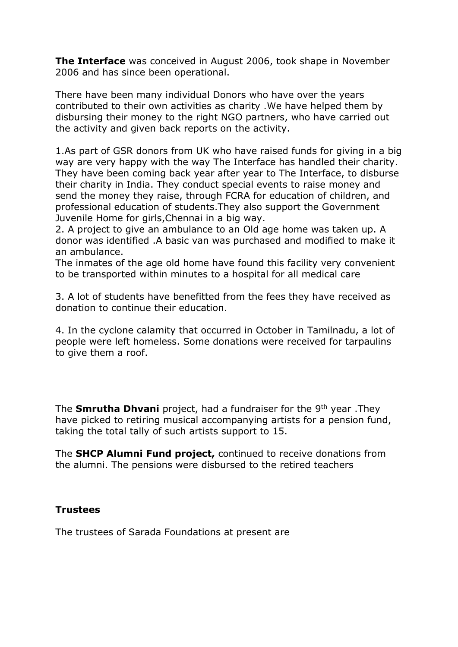**The Interface** was conceived in August 2006, took shape in November 2006 and has since been operational.

There have been many individual Donors who have over the years contributed to their own activities as charity .We have helped them by disbursing their money to the right NGO partners, who have carried out the activity and given back reports on the activity.

1.As part of GSR donors from UK who have raised funds for giving in a big way are very happy with the way The Interface has handled their charity. They have been coming back year after year to The Interface, to disburse their charity in India. They conduct special events to raise money and send the money they raise, through FCRA for education of children, and professional education of students.They also support the Government Juvenile Home for girls,Chennai in a big way.

2. A project to give an ambulance to an Old age home was taken up. A donor was identified .A basic van was purchased and modified to make it an ambulance.

The inmates of the age old home have found this facility very convenient to be transported within minutes to a hospital for all medical care

3. A lot of students have benefitted from the fees they have received as donation to continue their education.

4. In the cyclone calamity that occurred in October in Tamilnadu, a lot of people were left homeless. Some donations were received for tarpaulins to give them a roof.

The **Smrutha Dhvani** project, had a fundraiser for the 9th year .They have picked to retiring musical accompanying artists for a pension fund, taking the total tally of such artists support to 15.

The **SHCP Alumni Fund project,** continued to receive donations from the alumni. The pensions were disbursed to the retired teachers

## **Trustees**

The trustees of Sarada Foundations at present are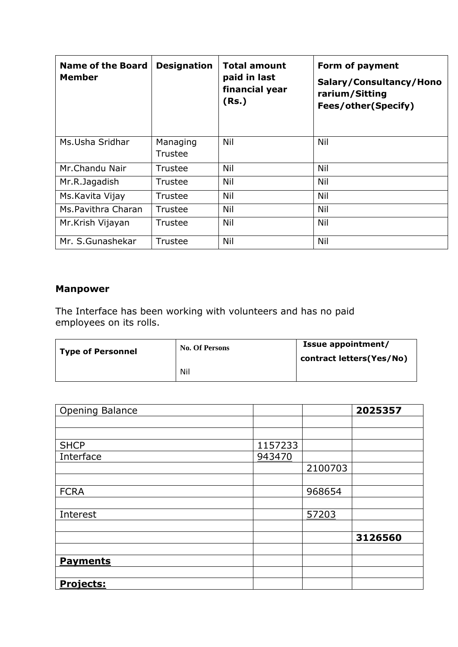| <b>Name of the Board</b><br><b>Member</b> | <b>Designation</b>  | <b>Total amount</b><br>paid in last<br>financial year<br>(Rs.) | Form of payment<br>Salary/Consultancy/Hono<br>rarium/Sitting<br><b>Fees/other(Specify)</b> |
|-------------------------------------------|---------------------|----------------------------------------------------------------|--------------------------------------------------------------------------------------------|
| Ms.Usha Sridhar                           | Managing<br>Trustee | Nil                                                            | Nil                                                                                        |
| Mr.Chandu Nair                            | Trustee             | Nil                                                            | Nil                                                                                        |
| Mr.R.Jagadish                             | Trustee             | Nil                                                            | Nil                                                                                        |
| Ms. Kavita Vijay                          | Trustee             | Nil                                                            | Nil                                                                                        |
| Ms.Pavithra Charan                        | Trustee             | Nil                                                            | Nil                                                                                        |
| Mr.Krish Vijayan                          | Trustee             | Nil                                                            | Nil                                                                                        |
| Mr. S.Gunashekar                          | Trustee             | Nil                                                            | Nil                                                                                        |

# **Manpower**

The Interface has been working with volunteers and has no paid employees on its rolls.

| <b>Type of Personnel</b> | <b>No. Of Persons</b> | Issue appointment/<br>contract letters(Yes/No) |  |
|--------------------------|-----------------------|------------------------------------------------|--|
|                          | Nil                   |                                                |  |

| Opening Balance  |         |         | 2025357 |
|------------------|---------|---------|---------|
|                  |         |         |         |
|                  |         |         |         |
| <b>SHCP</b>      | 1157233 |         |         |
| Interface        | 943470  |         |         |
|                  |         | 2100703 |         |
|                  |         |         |         |
| <b>FCRA</b>      |         | 968654  |         |
|                  |         |         |         |
| Interest         |         | 57203   |         |
|                  |         |         |         |
|                  |         |         | 3126560 |
|                  |         |         |         |
| <b>Payments</b>  |         |         |         |
|                  |         |         |         |
| <b>Projects:</b> |         |         |         |